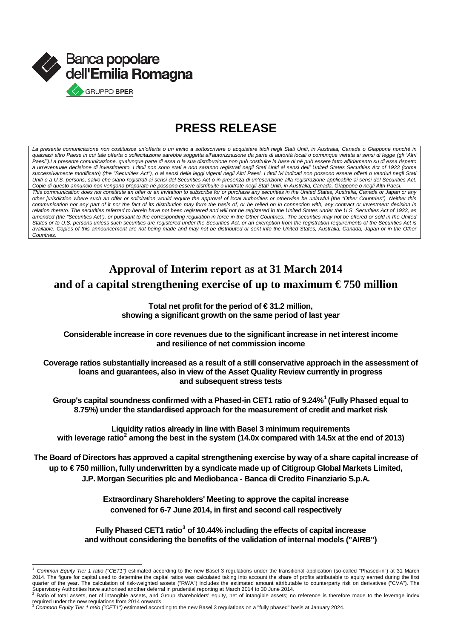

## **PRESS RELEASE**

La presente comunicazione non costituisce un'offerta o un invito a sottoscrivere o acquistare titoli negli Stati Uniti, in Australia, Canada o Giappone nonché in *qualsiasi altro Paese in cui tale offerta o sollecitazione sarebbe soggetta all'autorizzazione da parte di autorità locali o comunque vietata ai sensi di legge (gli "Altri Paesi").La presente comunicazione, qualunque parte di essa o la sua distribuzione non può costituire la base di né può essere fatto affidamento su di essa rispetto a un'eventuale decisione di investimento. I titoli non sono stati e non saranno registrati negli Stati Uniti ai sensi dell' United States Securities Act of 1933 (come successivamente modificato) (the "Securities Act"), o ai sensi delle leggi vigenti negli Altri Paesi. I titoli ivi indicati non possono essere offerti o venduti negli Stati Uniti o a U.S. persons, salvo che siano registrati ai sensi del Securities Act o in presenza di un'esenzione alla registrazione applicabile ai sensi del Securities Act. Copie di questo annuncio non vengono preparate né possono essere distribuite o inoltrate negli Stati Uniti, in Australia, Canada, Giappone o negli Altri Paesi. This communication does not constitute an offer or an invitation to subscribe for or purchase any securities in the United States, Australia, Canada or Japan or any other jurisdiction where such an offer or solicitation would require the approval of local authorities or otherwise be unlawful (the "Other Countries"). Neither this*  communication nor any part of it nor the fact of its distribution may form the basis of, or be relied on in connection with, any contract or investment decision in *relation thereto. The securities referred to herein have not been registered and will not be registered in the United States under the U.S. Securities Act of 1933, as*  amended (the "Securities Act"), or pursuant to the corresponding regulation in force in the Other Countries.. The securities may not be offered or sold in the United *States or to U.S. persons unless such securities are registered under the Securities Act, or an exemption from the registration requirements of the Securities Act is available. Copies of this announcement are not being made and may not be distributed or sent into the United States, Australia, Canada, Japan or in the Other Countries.*

### **Approval of Interim report as at 31 March 2014**  and of a capital strengthening exercise of up to maximum  $\epsilon$ 750 million

**Total net profit for the period of € 31.2 million, showing a significant growth on the same period of last year**

**Considerable increase in core revenues due to the significant increase in net interest income and resilience of net commission income**

**Coverage ratios substantially increased as a result of a still conservative approach in the assessment of loans and guarantees, also in view of the Asset Quality Review currently in progress and subsequent stress tests**

**Group's capital soundness confirmed with a Phased-in CET1 ratio of 9.24%[1](#page-0-0) (Fully Phased equal to 8.75%) under the standardised approach for the measurement of credit and market risk**

**Liquidity ratios already in line with Basel 3 minimum requirements with leverage ratio[2](#page-0-1) among the best in the system (14.0x compared with 14.5x at the end of 2013)**

**The Board of Directors has approved a capital strengthening exercise by way of a share capital increase of**  up to €750 million, fully underwritten by a syndicate made up of Citigroup Global Markets Limited, **J.P. Morgan Securities plc and Mediobanca - Banca di Credito Finanziario S.p.A.**

> **Extraordinary Shareholders' Meeting to approve the capital increase convened for 6-7 June 2014, in first and second call respectively**

**Fully Phased CET1 ratio[3](#page-0-2) of 10.44% including the effects of capital increase and without considering the benefits of the validation of internal models ("AIRB")**

<span id="page-0-0"></span>Common Equity Tier 1 ratio ("CET1") estimated according to the new Basel 3 regulations under the transitional application (so-called "Phased-in") at 31 March 2014. The figure for capital used to determine the capital ratios was calculated taking into account the share of profits attributable to equity earned during the first quarter of the year. The calculation of risk-weighted assets ("RWA") includes the estimated amount attributable to counterparty risk on derivatives ("CVA"). The Supervisory Authorities have authorised another deferral in prudential reporting at March 2014 to 30 June 2014.<br><sup>2</sup> Ratio of total assets, net of intangible assets, and Group shareholders' equity, net of intangible assets;

<span id="page-0-1"></span>

<span id="page-0-2"></span>required under the new regulations from 2014 onwards.<br><sup>3</sup> Co*mmon Equity Tier 1 ratio ("CET1")* estimated according to the new Basel 3 regulations on a "fully phased" basis at January 2024.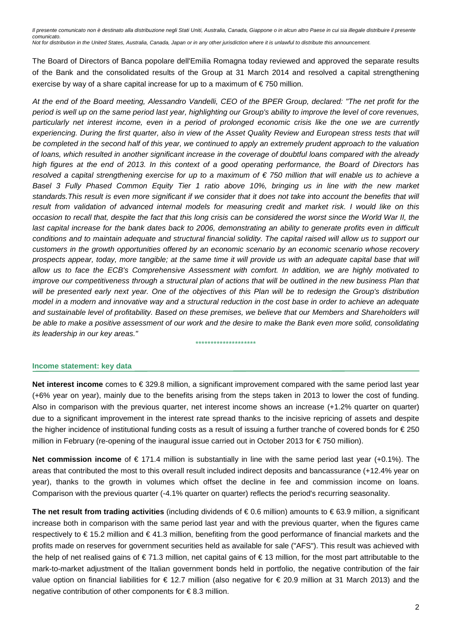The Board of Directors of Banca popolare dell'Emilia Romagna today reviewed and approved the separate results of the Bank and the consolidated results of the Group at 31 March 2014 and resolved a capital strengthening exercise by way of a share capital increase for up to a maximum of  $\epsilon$ 750 million.

*At the end of the Board meeting, Alessandro Vandelli, CEO of the BPER Group, declared: "The net profit for the period is well up on the same period last year, highlighting our Group's ability to improve the level of core revenues, particularly net interest income, even in a period of prolonged economic crisis like the one we are currently*  experiencing. During the first quarter, also in view of the Asset Quality Review and European stress tests that will *be completed in the second half of this year, we continued to apply an extremely prudent approach to the valuation of loans, which resulted in another significant increase in the coverage of doubtful loans compared with the already high figures at the end of 2013. In this context of a good operating performance, the Board of Directors has resolved a capital strengthening exercise for up to a maximum of € 750 million that will enable us to achieve a* Basel 3 Fully Phased Common Equity Tier 1 ratio above 10%, bringing us in line with the new market *standards.This result is even more significant if we consider that it does not take into account the benefits that will result from validation of advanced internal models for measuring credit and market risk. I would like on this occasion to recall that, despite the fact that this long crisis can be considered the worst since the World War II, the*  last capital increase for the bank dates back to 2006, demonstrating an ability to generate profits even in difficult *conditions and to maintain adequate and structural financial solidity. The capital raised will allow us to support our customers in the growth opportunities offered by an economic scenario by an economic scenario whose recovery prospects appear, today, more tangible; at the same time it will provide us with an adequate capital base that will allow us to face the ECB's Comprehensive Assessment with comfort. In addition, we are highly motivated to improve our competitiveness through a structural plan of actions that will be outlined in the new business Plan that* will be presented early next year. One of the objectives of this Plan will be to redesign the Group's distribution *model in a modern and innovative way and a structural reduction in the cost base in order to achieve an adequate*  and sustainable level of profitability. Based on these premises, we believe that our Members and Shareholders will *be able to make a positive assessment of our work and the desire to make the Bank even more solid, consolidating its leadership in our key areas."*

#### \*\*\*\*\*\*\*\*\*\*\*\*\*\*\*\*\*\*\*\*

#### **Income statement: key data**

**Net interest income** comes to € 329.8 million, a significant improvement compared with the same period last year (+6% year on year), mainly due to the benefits arising from the steps taken in 2013 to lower the cost of funding. Also in comparison with the previous quarter, net interest income shows an increase (+1.2% quarter on quarter) due to a significant improvement in the interest rate spread thanks to the incisive repricing of assets and despite the higher incidence of institutional funding costs as a result of issuing a further tranche of covered bonds for € 250 million in February (re-opening of the inaugural issue carried out in October 2013 for € 750 million).

**Net commission income** of € 171.4 million is substantially in line with the same period last year (+0.1%). The areas that contributed the most to this overall result included indirect deposits and bancassurance (+12.4% year on year), thanks to the growth in volumes which offset the decline in fee and commission income on loans. Comparison with the previous quarter (-4.1% quarter on quarter) reflects the period's recurring seasonality.

**The net result from trading activities** (including dividends of € 0.6 million) amounts to € 63.9 million, a significant increase both in comparison with the same period last year and with the previous quarter, when the figures came respectively to € 15.2 million and € 41.3 million, benefiting from the good performance of financial markets and the profits made on reserves for government securities held as available for sale ("AFS"). This result was achieved with the help of net realised gains of € 71.3 million, net capital gains of € 13 million, for the most part attributable to the mark-to-market adjustment of the Italian government bonds held in portfolio, the negative contribution of the fair value option on financial liabilities for € 12.7 million (also negative for € 20.9 million at 31 March 2013) and the negative contribution of other components for € 8.3 million.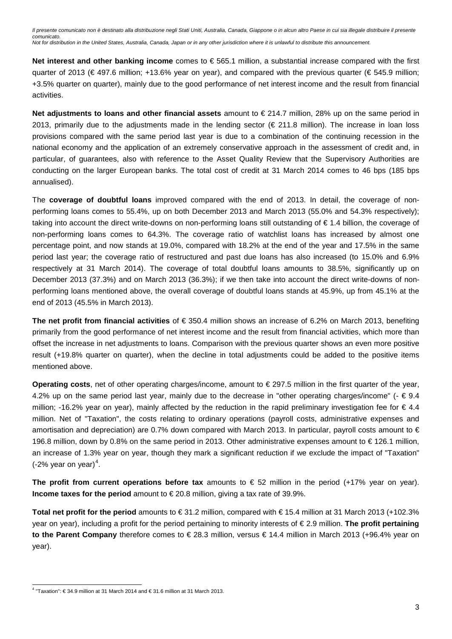**Net interest and other banking income** comes to € 565.1 million, a substantial increase compared with the first quarter of 2013 (€ 497.6 million; +13.6% year on year), and compared with the previous quarter (€ 545.9 million; +3.5% quarter on quarter), mainly due to the good performance of net interest income and the result from financial activities.

**Net adjustments to loans and other financial assets** amount to € 214.7 million, 28% up on the same period in 2013, primarily due to the adjustments made in the lending sector ( $\epsilon$  211.8 million). The increase in loan loss provisions compared with the same period last year is due to a combination of the continuing recession in the national economy and the application of an extremely conservative approach in the assessment of credit and, in particular, of guarantees, also with reference to the Asset Quality Review that the Supervisory Authorities are conducting on the larger European banks. The total cost of credit at 31 March 2014 comes to 46 bps (185 bps annualised).

The **coverage of doubtful loans** improved compared with the end of 2013. In detail, the coverage of nonperforming loans comes to 55.4%, up on both December 2013 and March 2013 (55.0% and 54.3% respectively); taking into account the direct write-downs on non-performing loans still outstanding of € 1.4 billion, the coverage of non-performing loans comes to 64.3%. The coverage ratio of watchlist loans has increased by almost one percentage point, and now stands at 19.0%, compared with 18.2% at the end of the year and 17.5% in the same period last year; the coverage ratio of restructured and past due loans has also increased (to 15.0% and 6.9% respectively at 31 March 2014). The coverage of total doubtful loans amounts to 38.5%, significantly up on December 2013 (37.3%) and on March 2013 (36.3%); if we then take into account the direct write-downs of nonperforming loans mentioned above, the overall coverage of doubtful loans stands at 45.9%, up from 45.1% at the end of 2013 (45.5% in March 2013).

**The net profit from financial activities** of € 350.4 million shows an increase of 6.2% on March 2013, benefiting primarily from the good performance of net interest income and the result from financial activities, which more than offset the increase in net adjustments to loans. Comparison with the previous quarter shows an even more positive result (+19.8% quarter on quarter), when the decline in total adjustments could be added to the positive items mentioned above.

**Operating costs**, net of other operating charges/income, amount to € 297.5 million in the first quarter of the year, 4.2% up on the same period last year, mainly due to the decrease in "other operating charges/income" ( $\epsilon \in 9.4$ ) million; -16.2% year on year), mainly affected by the reduction in the rapid preliminary investigation fee for  $\epsilon$  4.4 million. Net of "Taxation", the costs relating to ordinary operations (payroll costs, administrative expenses and amortisation and depreciation) are 0.7% down compared with March 2013. In particular, payroll costs amount to € 196.8 million, down by 0.8% on the same period in 2013. Other administrative expenses amount to € 126.1 million, an increase of 1.3% year on year, though they mark a significant reduction if we exclude the impact of "Taxation" (-2% year on year)<sup>[4](#page-2-0)</sup>.

**The profit from current operations before tax** amounts to  $€ 52$  million in the period  $(+17\%$  year on year). **Income taxes for the period** amount to € 20.8 million, giving a tax rate of 39.9%.

**Total net profit for the period** amounts to € 31.2 million, compared with € 15.4 million at 31 March 2013 (+102.3% year on year), including a profit for the period pertaining to minority interests of € 2.9 million. **The profit pertaining to the Parent Company** therefore comes to € 28.3 million, versus € 14.4 million in March 2013 (+96.4% year on year).

<span id="page-2-0"></span> <sup>4</sup> "Taxation": € 34.9 million at 31 March 2014 and € 31.6 million at 31 March 2013.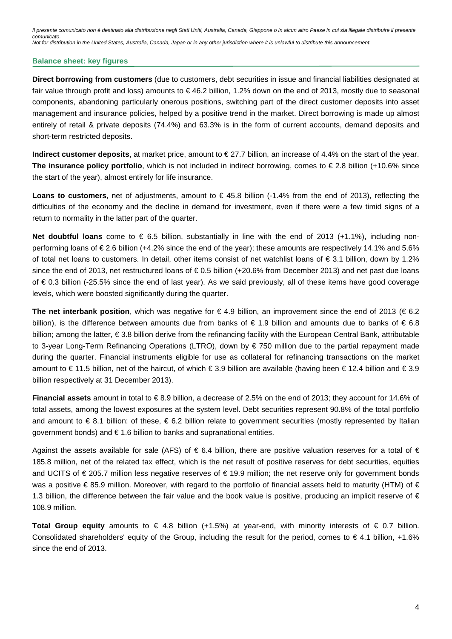#### **Balance sheet: key figures**

**Direct borrowing from customers** (due to customers, debt securities in issue and financial liabilities designated at fair value through profit and loss) amounts to € 46.2 billion, 1.2% down on the end of 2013, mostly due to seasonal components, abandoning particularly onerous positions, switching part of the direct customer deposits into asset management and insurance policies, helped by a positive trend in the market. Direct borrowing is made up almost entirely of retail & private deposits (74.4%) and 63.3% is in the form of current accounts, demand deposits and short-term restricted deposits.

**Indirect customer deposits**, at market price, amount to € 27.7 billion, an increase of 4.4% on the start of the year. **The insurance policy portfolio**, which is not included in indirect borrowing, comes to € 2.8 billion (+10.6% since the start of the year), almost entirely for life insurance.

**Loans to customers**, net of adjustments, amount to € 45.8 billion (-1.4% from the end of 2013), reflecting the difficulties of the economy and the decline in demand for investment, even if there were a few timid signs of a return to normality in the latter part of the quarter.

**Net doubtful loans** come to € 6.5 billion, substantially in line with the end of 2013 (+1.1%), including nonperforming loans of € 2.6 billion (+4.2% since the end of the year); these amounts are respectively 14.1% and 5.6% of total net loans to customers. In detail, other items consist of net watchlist loans of € 3.1 billion, down by 1.2% since the end of 2013, net restructured loans of €0.5 billion (+20.6% from December 2013) and net past due loans of € 0.3 billion (-25.5% since the end of last year). As we said previously, all of these items have good coverage levels, which were boosted significantly during the quarter.

**The net interbank position**, which was negative for €4.9 billion, an improvement since the end of 2013 (€6.2) billion), is the difference between amounts due from banks of  $\in$  1.9 billion and amounts due to banks of  $\in$  6.8 billion; among the latter, € 3.8 billion derive from the refinancing facility with the European Central Bank, attributable to 3-year Long-Term Refinancing Operations (LTRO), down by € 750 million due to the partial repayment made during the quarter. Financial instruments eligible for use as collateral for refinancing transactions on the market amount to € 11.5 billion, net of the haircut, of which € 3.9 billion are available (having been € 12.4 billion and € 3.9 billion respectively at 31 December 2013).

**Financial assets** amount in total to € 8.9 billion, a decrease of 2.5% on the end of 2013; they account for 14.6% of total assets, among the lowest exposures at the system level. Debt securities represent 90.8% of the total portfolio and amount to  $\epsilon$  8.1 billion: of these,  $\epsilon$  6.2 billion relate to government securities (mostly represented by Italian government bonds) and € 1.6 billion to banks and supranational entities.

Against the assets available for sale (AFS) of  $\epsilon$  6.4 billion, there are positive valuation reserves for a total of  $\epsilon$ 185.8 million, net of the related tax effect, which is the net result of positive reserves for debt securities, equities and UCITS of € 205.7 million less negative reserves of € 19.9 million; the net reserve only for government bonds was a positive €85.9 million. Moreover, with regard to the portfolio of financial assets held to maturity (HTM) of € 1.3 billion, the difference between the fair value and the book value is positive, producing an implicit reserve of  $\epsilon$ 108.9 million.

**Total Group equity** amounts to € 4.8 billion (+1.5%) at year-end, with minority interests of € 0.7 billion. Consolidated shareholders' equity of the Group, including the result for the period, comes to  $\epsilon$  4.1 billion, +1.6% since the end of 2013.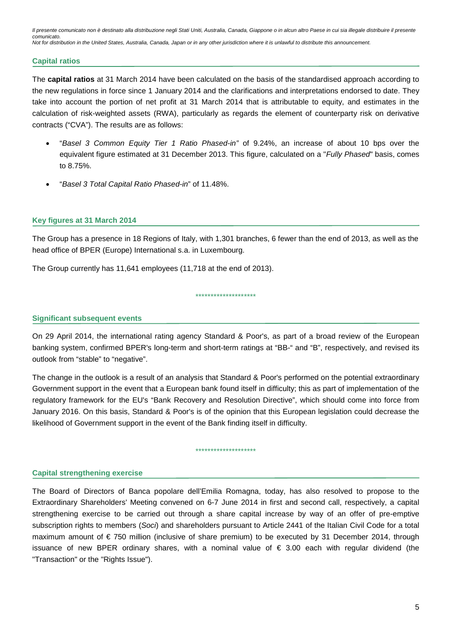#### **Capital ratios**

The **capital ratios** at 31 March 2014 have been calculated on the basis of the standardised approach according to the new regulations in force since 1 January 2014 and the clarifications and interpretations endorsed to date. They take into account the portion of net profit at 31 March 2014 that is attributable to equity, and estimates in the calculation of risk-weighted assets (RWA), particularly as regards the element of counterparty risk on derivative contracts ("CVA"). The results are as follows:

- "*Basel 3 Common Equity Tier 1 Ratio Phased-in"* of 9.24%, an increase of about 10 bps over the equivalent figure estimated at 31 December 2013. This figure, calculated on a "*Fully Phased*" basis, comes to 8.75%.
- "*Basel 3 Total Capital Ratio Phased-in*" of 11.48%.

#### **Key figures at 31 March 2014**

The Group has a presence in 18 Regions of Italy, with 1,301 branches, 6 fewer than the end of 2013, as well as the head office of BPER (Europe) International s.a. in Luxembourg.

\*\*\*\*\*\*\*\*\*\*\*\*\*\*\*\*\*\*\*\*

The Group currently has 11,641 employees (11,718 at the end of 2013).

**Significant subsequent events**

On 29 April 2014, the international rating agency Standard & Poor's, as part of a broad review of the European banking system, confirmed BPER's long-term and short-term ratings at "BB-" and "B", respectively, and revised its outlook from "stable" to "negative".

The change in the outlook is a result of an analysis that Standard & Poor's performed on the potential extraordinary Government support in the event that a European bank found itself in difficulty; this as part of implementation of the regulatory framework for the EU's "Bank Recovery and Resolution Directive", which should come into force from January 2016. On this basis, Standard & Poor's is of the opinion that this European legislation could decrease the likelihood of Government support in the event of the Bank finding itself in difficulty.

\*\*\*\*\*\*\*\*\*\*\*\*\*\*\*\*\*\*\*\*

#### **Capital strengthening exercise**

The Board of Directors of Banca popolare dell'Emilia Romagna, today, has also resolved to propose to the Extraordinary Shareholders' Meeting convened on 6-7 June 2014 in first and second call, respectively, a capital strengthening exercise to be carried out through a share capital increase by way of an offer of pre-emptive subscription rights to members (*Soci*) and shareholders pursuant to Article 2441 of the Italian Civil Code for a total maximum amount of  $\epsilon$  750 million (inclusive of share premium) to be executed by 31 December 2014, through issuance of new BPER ordinary shares, with a nominal value of € 3.00 each with regular dividend (the "Transaction" or the "Rights Issue").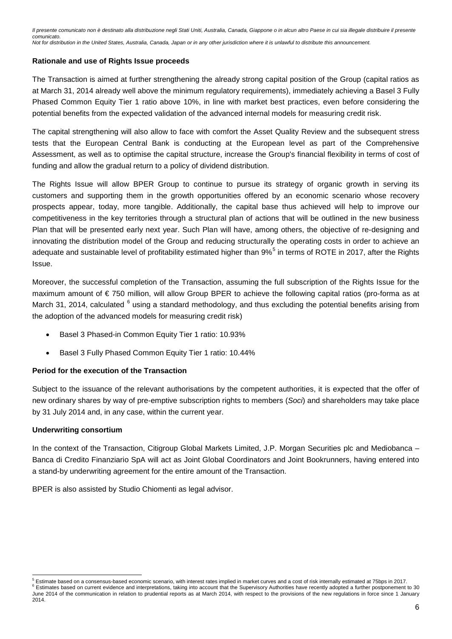### **Rationale and use of Rights Issue proceeds**

The Transaction is aimed at further strengthening the already strong capital position of the Group (capital ratios as at March 31, 2014 already well above the minimum regulatory requirements), immediately achieving a Basel 3 Fully Phased Common Equity Tier 1 ratio above 10%, in line with market best practices, even before considering the potential benefits from the expected validation of the advanced internal models for measuring credit risk.

The capital strengthening will also allow to face with comfort the Asset Quality Review and the subsequent stress tests that the European Central Bank is conducting at the European level as part of the Comprehensive Assessment, as well as to optimise the capital structure, increase the Group's financial flexibility in terms of cost of funding and allow the gradual return to a policy of dividend distribution.

The Rights Issue will allow BPER Group to continue to pursue its strategy of organic growth in serving its customers and supporting them in the growth opportunities offered by an economic scenario whose recovery prospects appear, today, more tangible. Additionally, the capital base thus achieved will help to improve our competitiveness in the key territories through a structural plan of actions that will be outlined in the new business Plan that will be presented early next year. Such Plan will have, among others, the objective of re-designing and innovating the distribution model of the Group and reducing structurally the operating costs in order to achieve an adequate and sustainable level of profitability estimated higher than 9% $^5$  $^5$  in terms of ROTE in 2017, after the Rights Issue.

Moreover, the successful completion of the Transaction, assuming the full subscription of the Rights Issue for the maximum amount of € 750 million, will allow Group BPER to achieve the following capital ratios (pro-forma as at March 31, 2014, calculated <sup>[6](#page-5-1)</sup> using a standard methodology, and thus excluding the potential benefits arising from the adoption of the advanced models for measuring credit risk)

- Basel 3 Phased-in Common Equity Tier 1 ratio: 10.93%
- Basel 3 Fully Phased Common Equity Tier 1 ratio: 10.44%

### **Period for the execution of the Transaction**

Subject to the issuance of the relevant authorisations by the competent authorities, it is expected that the offer of new ordinary shares by way of pre-emptive subscription rights to members (*Soci*) and shareholders may take place by 31 July 2014 and, in any case, within the current year.

#### **Underwriting consortium**

In the context of the Transaction, Citigroup Global Markets Limited, J.P. Morgan Securities plc and Mediobanca – Banca di Credito Finanziario SpA will act as Joint Global Coordinators and Joint Bookrunners, having entered into a stand-by underwriting agreement for the entire amount of the Transaction.

BPER is also assisted by Studio Chiomenti as legal advisor.

<span id="page-5-1"></span><span id="page-5-0"></span><sup>&</sup>lt;sup>5</sup> Estimate based on a consensus-based economic scenario, with interest rates implied in market curves and a cost of risk internally estimated at 75bps in 2017.<br><sup>6</sup> Estimates based on current evidence and interpretations, June 2014 of the communication in relation to prudential reports as at March 2014, with respect to the provisions of the new regulations in force since 1 January 2014.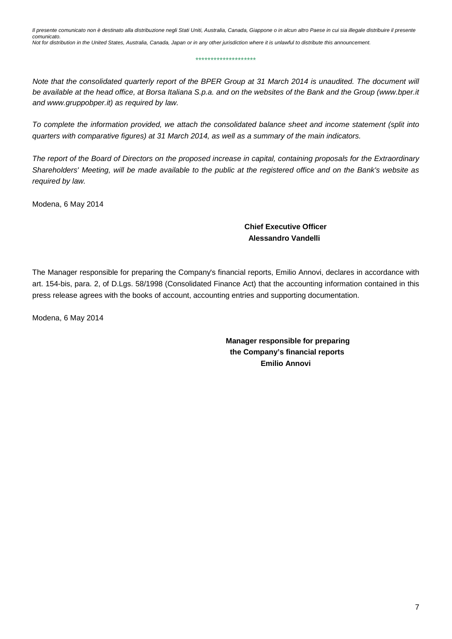\*\*\*\*\*\*\*\*\*\*\*\*\*\*\*\*\*\*\*\*

*Note that the consolidated quarterly report of the BPER Group at 31 March 2014 is unaudited. The document will be available at the head office, at Borsa Italiana S.p.a. and on the websites of the Bank and the Group (www.bper.it and www.gruppobper.it) as required by law.*

*To complete the information provided, we attach the consolidated balance sheet and income statement (split into quarters with comparative figures) at 31 March 2014, as well as a summary of the main indicators.*

*The report of the Board of Directors on the proposed increase in capital, containing proposals for the Extraordinary Shareholders' Meeting, will be made available to the public at the registered office and on the Bank's website as required by law.*

Modena, 6 May 2014

 **Chief Executive Officer Alessandro Vandelli**

The Manager responsible for preparing the Company's financial reports, Emilio Annovi, declares in accordance with art. 154-bis, para. 2, of D.Lgs. 58/1998 (Consolidated Finance Act) that the accounting information contained in this press release agrees with the books of account, accounting entries and supporting documentation.

Modena, 6 May 2014

**Manager responsible for preparing the Company's financial reports Emilio Annovi**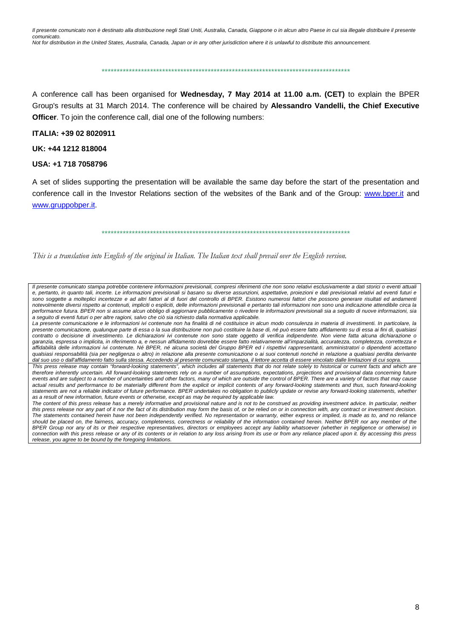\*\*\*\*\*\*\*\*\*\*\*\*\*\*\*\*\*\*\*\*\*\*\*\*\*\*\*\*\*\*\*\*\*\*\*\*\*\*\*\*\*\*\*\*\*\*\*\*\*\*\*\*\*\*\*\*\*\*\*\*\*\*\*\*\*\*\*\*\*\*\*\*\*\*\*\*\*\*\*\*\*\*

A conference call has been organised for **Wednesday, 7 May 2014 at 11.00 a.m. (CET)** to explain the BPER Group's results at 31 March 2014. The conference will be chaired by **Alessandro Vandelli, the Chief Executive Officer**. To join the conference call, dial one of the following numbers:

#### **ITALIA: +39 02 8020911**

#### **UK: +44 1212 818004**

#### **USA: +1 718 7058796**

A set of slides supporting the presentation will be available the same day before the start of the presentation and conference call in the Investor Relations section of the websites of the Bank and of the Group: www.bper.it and [www.gruppobper.it.](http://www.gruppobper.it/)

\*\*\*\*\*\*\*\*\*\*\*\*\*\*\*\*\*\*\*\*\*\*\*\*\*\*\*\*\*\*\*\*\*\*\*\*\*\*\*\*\*\*\*\*\*\*\*\*\*\*\*\*\*\*\*\*\*\*\*\*\*\*\*\*\*\*\*\*\*\*\*\*\*\*\*\*\*\*\*\*\*\*

*This is a translation into English of the original in Italian. The Italian text shall prevail over the English version.*

*Il presente comunicato stampa potrebbe contenere informazioni previsionali, compresi riferimenti che non sono relativi esclusivamente a dati storici o eventi attuali e, pertanto, in quanto tali, incerte. Le informazioni previsionali si basano su diverse assunzioni, aspettative, proiezioni e dati previsionali relativi ad eventi futuri e sono soggette a molteplici incertezze e ad altri fattori al di fuori del controllo di BPER. Esistono numerosi fattori che possono generare risultati ed andamenti notevolmente diversi rispetto ai contenuti, impliciti o espliciti, delle informazioni previsionali e pertanto tali informazioni non sono una indicazione attendibile circa la performance futura. BPER non si assume alcun obbligo di aggiornare pubblicamente o rivedere le informazioni previsionali sia a seguito di nuove informazioni, sia a seguito di eventi futuri o per altre ragioni, salvo che ciò sia richiesto dalla normativa applicabile.*

La presente comunicazione e le informazioni ivi contenute non ha finalità di né costituisce in alcun modo consulenza in materia di investimenti. In particolare, la *presente comunicazione, qualunque parte di essa o la sua distribuzione non può costituire la base di, né può essere fatto affidamento su di essa ai fini di, qualsiasi contratto o decisione di investimento. Le dichiarazioni ivi contenute non sono state oggetto di verifica indipendente. Non viene fatta alcuna dichiarazione o garanzia, espressa o implicita, in riferimento a, e nessun affidamento dovrebbe essere fatto relativamente all'imparzialità, accuratezza, completezza, correttezza e affidabilità delle informazioni ivi contenute. Né BPER, né alcuna società del Gruppo BPER ed i rispettivi rappresentanti, amministratori o dipendenti accettano qualsiasi responsabilità (sia per negligenza o altro) in relazione alla presente comunicazione o ai suoi contenuti nonché in relazione a qualsiasi perdita derivante dal suo uso o dall'affidamento fatto sulla stessa. Accedendo al presente comunicato stampa, il lettore accetta di essere vincolato dalle limitazioni di cui sopra.*

*This press release may contain "forward-looking statements", which includes all statements that do not relate solely to historical or current facts and which are*  therefore inherently uncertain. All forward-looking statements rely on a number of assumptions, expectations, projections and provisional data concerning future *events and are subject to a number of uncertainties and other factors, many of which are outside the control of BPER. There are a variety of factors that may cause*  actual results and performance to be materially different from the explicit or implicit contents of any forward-looking statements and thus, such forward-looking *statements are not a reliable indicator of future performance. BPER undertakes no obligation to publicly update or revise any forward-looking statements, whether as a result of new information, future events or otherwise, except as may be required by applicable law.*

The content of this press release has a merely informative and provisional nature and is not to be construed as providing investment advice. In particular, neither *this press release nor any part of it nor the fact of its distribution may form the basis of, or be relied on or in connection with, any contract or investment decision. The statements contained herein have not been independently verified. No representation or warranty, either express or implied, is made as to, and no reliance should be placed on, the fairness, accuracy, completeness, correctness or reliability of the information contained herein. Neither BPER nor any member of the*  BPER Group nor any of its or their respective representatives, directors or employees accept any liability whatsoever (whether in negligence or otherwise) in *connection with this press release or any of its contents or in relation to any loss arising from its use or from any reliance placed upon it. By accessing this press release, you agree to be bound by the foregoing limitations.*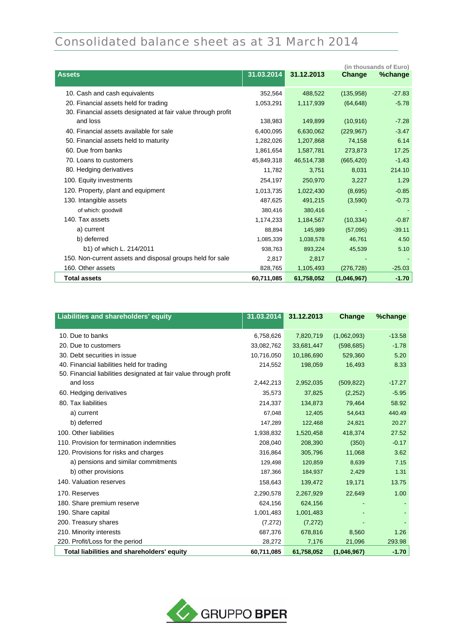# Consolidated balance sheet as at 31 March 2014

|                                                              |            |            |             | (in thousands of Euro) |
|--------------------------------------------------------------|------------|------------|-------------|------------------------|
| <b>Assets</b>                                                | 31.03.2014 | 31.12.2013 | Change      | %change                |
| 10. Cash and cash equivalents                                | 352.564    | 488.522    | (135,958)   | $-27.83$               |
| 20. Financial assets held for trading                        | 1,053,291  | 1,117,939  | (64, 648)   | $-5.78$                |
| 30. Financial assets designated at fair value through profit |            |            |             |                        |
| and loss                                                     | 138,983    | 149,899    | (10, 916)   | $-7.28$                |
| 40. Financial assets available for sale                      | 6,400,095  | 6,630,062  | (229, 967)  | $-3.47$                |
| 50. Financial assets held to maturity                        | 1,282,026  | 1,207,868  | 74,158      | 6.14                   |
| 60. Due from banks                                           | 1,861,654  | 1,587,781  | 273,873     | 17.25                  |
| 70. Loans to customers                                       | 45,849,318 | 46,514,738 | (665, 420)  | $-1.43$                |
| 80. Hedging derivatives                                      | 11,782     | 3,751      | 8,031       | 214.10                 |
| 100. Equity investments                                      | 254,197    | 250,970    | 3,227       | 1.29                   |
| 120. Property, plant and equipment                           | 1,013,735  | 1,022,430  | (8,695)     | $-0.85$                |
| 130. Intangible assets                                       | 487,625    | 491,215    | (3,590)     | $-0.73$                |
| of which: goodwill                                           | 380,416    | 380,416    |             |                        |
| 140. Tax assets                                              | 1,174,233  | 1,184,567  | (10, 334)   | $-0.87$                |
| a) current                                                   | 88,894     | 145,989    | (57,095)    | $-39.11$               |
| b) deferred                                                  | 1,085,339  | 1,038,578  | 46,761      | 4.50                   |
| b1) of which L. 214/2011                                     | 938,763    | 893,224    | 45,539      | 5.10                   |
| 150. Non-current assets and disposal groups held for sale    | 2,817      | 2,817      |             |                        |
| 160. Other assets                                            | 828,765    | 1,105,493  | (276, 728)  | $-25.03$               |
| <b>Total assets</b>                                          | 60,711,085 | 61,758,052 | (1,046,967) | $-1.70$                |

| Liabilities and shareholders' equity                              | 31.03.2014 | 31.12.2013 | Change      | %change  |
|-------------------------------------------------------------------|------------|------------|-------------|----------|
| 10. Due to banks                                                  | 6,758,626  | 7,820,719  | (1,062,093) | $-13.58$ |
| 20. Due to customers                                              | 33,082,762 | 33,681,447 | (598, 685)  | $-1.78$  |
| 30. Debt securities in issue                                      | 10,716,050 | 10,186,690 | 529,360     | 5.20     |
| 40. Financial liabilities held for trading                        | 214,552    | 198,059    | 16,493      | 8.33     |
| 50. Financial liabilities designated at fair value through profit |            |            |             |          |
| and loss                                                          | 2,442,213  | 2,952,035  | (509, 822)  | $-17.27$ |
| 60. Hedging derivatives                                           | 35,573     | 37,825     | (2,252)     | $-5.95$  |
| 80. Tax liabilities                                               | 214,337    | 134,873    | 79,464      | 58.92    |
| a) current                                                        | 67,048     | 12,405     | 54,643      | 440.49   |
| b) deferred                                                       | 147,289    | 122,468    | 24,821      | 20.27    |
| 100. Other liabilities                                            | 1,938,832  | 1,520,458  | 418,374     | 27.52    |
| 110. Provision for termination indemnities                        | 208,040    | 208,390    | (350)       | $-0.17$  |
| 120. Provisions for risks and charges                             | 316,864    | 305,796    | 11,068      | 3.62     |
| a) pensions and similar commitments                               | 129,498    | 120,859    | 8,639       | 7.15     |
| b) other provisions                                               | 187,366    | 184,937    | 2,429       | 1.31     |
| 140. Valuation reserves                                           | 158,643    | 139,472    | 19,171      | 13.75    |
| 170. Reserves                                                     | 2,290,578  | 2,267,929  | 22,649      | 1.00     |
| 180. Share premium reserve                                        | 624,156    | 624,156    |             |          |
| 190. Share capital                                                | 1,001,483  | 1,001,483  |             |          |
| 200. Treasury shares                                              | (7, 272)   | (7,272)    |             |          |
| 210. Minority interests                                           | 687,376    | 678,816    | 8,560       | 1.26     |
| 220. Profit/Loss for the period                                   | 28,272     | 7,176      | 21,096      | 293.98   |
| Total liabilities and shareholders' equity                        | 60,711,085 | 61,758,052 | (1,046,967) | $-1.70$  |

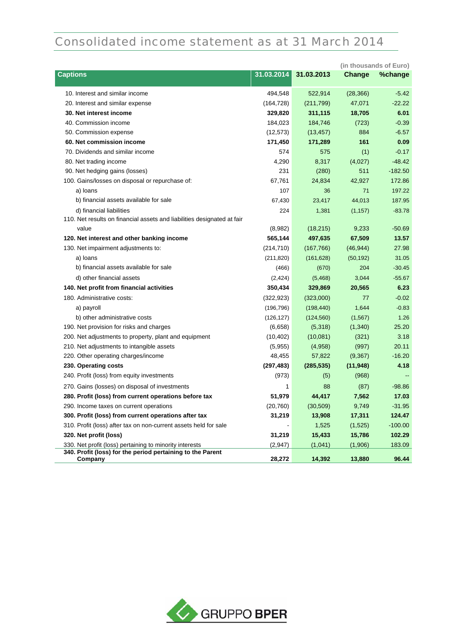## Consolidated income statement as at 31 March 2014

|                                                                         |            |            |           | (in thousands of Euro) |
|-------------------------------------------------------------------------|------------|------------|-----------|------------------------|
| <b>Captions</b>                                                         | 31.03.2014 | 31.03.2013 | Change    | %change                |
| 10. Interest and similar income                                         | 494,548    | 522,914    | (28, 366) | $-5.42$                |
| 20. Interest and similar expense                                        | (164, 728) | (211,799)  | 47,071    | $-22.22$               |
| 30. Net interest income                                                 | 329,820    | 311,115    | 18,705    | 6.01                   |
| 40. Commission income                                                   | 184,023    | 184,746    | (723)     | $-0.39$                |
| 50. Commission expense                                                  | (12, 573)  | (13, 457)  | 884       | $-6.57$                |
| 60. Net commission income                                               | 171,450    | 171,289    | 161       | 0.09                   |
| 70. Dividends and similar income                                        | 574        | 575        | (1)       | $-0.17$                |
| 80. Net trading income                                                  | 4,290      | 8,317      | (4,027)   | $-48.42$               |
| 90. Net hedging gains (losses)                                          | 231        | (280)      | 511       | $-182.50$              |
| 100. Gains/losses on disposal or repurchase of:                         | 67,761     | 24,834     | 42,927    | 172.86                 |
| a) loans                                                                | 107        | 36         | 71        | 197.22                 |
| b) financial assets available for sale                                  | 67,430     | 23,417     | 44,013    | 187.95                 |
| d) financial liabilities                                                | 224        | 1,381      | (1, 157)  | $-83.78$               |
| 110. Net results on financial assets and liabilities designated at fair |            |            |           |                        |
| value                                                                   | (8,982)    | (18, 215)  | 9,233     | $-50.69$               |
| 120. Net interest and other banking income                              | 565,144    | 497,635    | 67,509    | 13.57                  |
| 130. Net impairment adjustments to:                                     | (214, 710) | (167, 766) | (46, 944) | 27.98                  |
| a) loans                                                                | (211, 820) | (161, 628) | (50, 192) | 31.05                  |
| b) financial assets available for sale                                  | (466)      | (670)      | 204       | $-30.45$               |
| d) other financial assets                                               | (2, 424)   | (5,468)    | 3,044     | $-55.67$               |
| 140. Net profit from financial activities                               | 350,434    | 329,869    | 20,565    | 6.23                   |
| 180. Administrative costs:                                              | (322, 923) | (323,000)  | 77        | $-0.02$                |
| a) payroll                                                              | (196, 796) | (198, 440) | 1,644     | $-0.83$                |
| b) other administrative costs                                           | (126, 127) | (124, 560) | (1, 567)  | 1.26                   |
| 190. Net provision for risks and charges                                | (6,658)    | (5,318)    | (1,340)   | 25.20                  |
| 200. Net adjustments to property, plant and equipment                   | (10, 402)  | (10,081)   | (321)     | 3.18                   |
| 210. Net adjustments to intangible assets                               | (5,955)    | (4,958)    | (997)     | 20.11                  |
| 220. Other operating charges/income                                     | 48,455     | 57,822     | (9, 367)  | $-16.20$               |
| 230. Operating costs                                                    | (297, 483) | (285, 535) | (11, 948) | 4.18                   |
| 240. Profit (loss) from equity investments                              | (973)      | (5)        | (968)     |                        |
| 270. Gains (losses) on disposal of investments                          | 1          | 88         | (87)      | $-98.86$               |
| 280. Profit (loss) from current operations before tax                   | 51,979     | 44,417     | 7,562     | 17.03                  |
| 290. Income taxes on current operations                                 | (20, 760)  | (30, 509)  | 9,749     | $-31.95$               |
| 300. Profit (loss) from current operations after tax                    | 31,219     | 13,908     | 17,311    | 124.47                 |
| 310. Profit (loss) after tax on non-current assets held for sale        |            | 1,525      | (1,525)   | $-100.00$              |
| 320. Net profit (loss)                                                  | 31,219     | 15,433     | 15,786    | 102.29                 |
| 330. Net profit (loss) pertaining to minority interests                 | (2,947)    | (1,041)    | (1,906)   | 183.09                 |
| 340. Profit (loss) for the period pertaining to the Parent              |            |            |           |                        |
| Company                                                                 | 28,272     | 14,392     | 13,880    | 96.44                  |

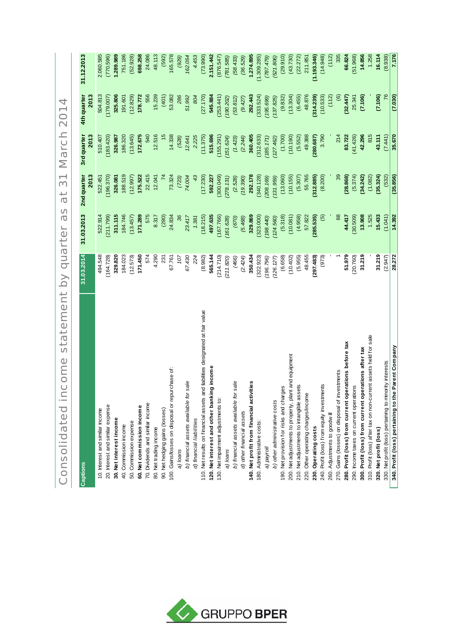Consolidated income statement by quarter as at 31 March 2014 Consolidated income statement by quarter as at 31 March 2014

| <b>Captions</b>                                                               | 31.03.2014 | 31.03.2013     | 2nd quarter   | 3rd quarter   | 4th quarter | 31.12.2013  |
|-------------------------------------------------------------------------------|------------|----------------|---------------|---------------|-------------|-------------|
|                                                                               |            |                | 2013          | 2013          | 2013        |             |
| 10. Interest and similar income                                               | 494.548    | 522.914        | 522.451       | 510.407       | 504.813     | 2.060.585   |
| 20. Interest and similar expense                                              | (164.728)  | (211.799)      | (196.370)     | (183.420)     | (179.007)   | (770.596)   |
| 30. Net interest income                                                       | 329.820    | 311.115        | 326.081       | 326.987       | 325.806     | 1.289.989   |
| 40. Commission income                                                         | 184.023    | 184.746        | 188.519       | 186.320       | 191.601     | 751.186     |
| 50. Commission expense                                                        | (12.573)   | (13.457)       | (12.997)      | (13.645)      | (12.829)    | (52.928)    |
| 60. Net commission income                                                     | 171.450    | 171.289        | 175.522       | 172.675       | 178.772     | 698.258     |
| 70. Dividends and similar income                                              | 574        | 575            | 22.415        | 540           | 556         | 24.086      |
| 80. Net trading income                                                        | 4.290      | 8.317          | 12.041        | 12.516        | 15.239      | 48.113      |
| 90. Net hedging gains (losses)                                                | 231        | (280)          |               | $\frac{5}{1}$ | (401)       | (592)       |
| 100. Gains/losses on disposal or repurchase of:                               | 67.761     | 24.834         | 73.324        | 14.338        | 53.082      | 165.578     |
| a) loans                                                                      | 107        | 36             | (723)         | (528)         | 286         | (929)       |
| b) financial assets available for sale                                        | 67.430     | 23.417         | 74.004        | 12.641        | 51.992      | 162.054     |
| d) financial liabilities                                                      | 224        | 1.381          | $\frac{4}{3}$ | 2.225         | 804         | 4.453       |
| 110. Net results on financial assets and liabilities designated at fair value | (8.982)    | (18.215)       | (17.230)      | (11.375)      | (27.170)    | (73.990)    |
| 120. Net interest and other banking income                                    | 565.144    | 497.635        | 592.227       | 515.696       | 545.884     | 2.151.442   |
| 130. Net impairment adjustments to:                                           | (214.710)  | (167.766)      | (640.005)     | (155.291)     | (253.441)   | (876.547)   |
| a) loans                                                                      | (211.820)  | (161.628)      | (278.131)     | (151.624)     | (190.202)   | (781.585)   |
| sale<br>b) financial assets available for                                     | (466)      | (670)          | (2.528)       | (1.423)       | (53.812)    | (58, 433)   |
| d) other financial assets                                                     | (2.424)    | (5.468)        | (19.390)      | (2.244)       | (9.427)     | (36.529)    |
| 140. Net profit from financial activities                                     | 350.434    | 329.869        | 292.178       | 360.405       | 292.443     | 1.274.895   |
| 180. Administrative costs:                                                    | (322.923)  | (323,000)      | (340.128)     | (312.633)     | (333.524)   | (1.309.285) |
| a) payroll                                                                    | 196.796)   | (004.98, 1)    | (208, 169)    | (185.171)     | (195.699)   | (787.479)   |
| b) other administrative costs                                                 | (126.127)  | (124.560)      | (131.959)     | (127.462)     | (137.825)   | (521.806)   |
| 190. Net provision for risks and charges                                      | (6.658)    | (5.318)        | (13.060)      | (1.700)       | (9.832)     | (29.910)    |
| 200. Net adjustments to property, plant and equipment                         | (10.402)   | (10.081)       | (10.155)      | (10.190)      | (13.304)    | (43.730)    |
| 210. Net adjustments to intangible assets                                     | (5.955)    | (4.958)        | (5.307)       | (5.552)       | (6.455)     | (22.272)    |
| 220. Other operating charges/income                                           | 48.455     | 57.822         | 55.765        | 49.388        | 48.876      | 211.851     |
| 230. Operating costs                                                          | (297.483)  | (285.535)      | (312.885)     | (280.687)     | (314.239)   | (1.193.346) |
| 240. Profit (loss) from equity investments                                    | (973)      | $\overline{5}$ | (8.200)       | 3.790         | (10.533)    | (14.948)    |
| 260. Adjustments to goodwill                                                  |            |                |               |               | (112)       | (112)       |
| 270. Gains (losses) on disposal of investments                                |            | 88             | 39            | 214           | $\circlede$ | 335         |
| 280. Profit (loss) from current operations before tax                         | 51.979     | 44.417         | (28.868)      | 83.722        | (32.447)    | 66.824      |
| 290. Income taxes on current operations                                       | (20.760)   | (30.509)       | (5.374)       | (41.426)      | 25.341      | (51.968)    |
| 300. Profit (loss) from current operations after tax                          | 31.219     | 13.908         | (34.242)      | 42.296        | (7.106)     | 14.856      |
| 310. Profit (loss) after tax on non-current assets held for sale              |            | 1.525          | (1.082)       | 815           |             | 1.258       |
| 320. Net profit (loss)                                                        | 31.219     | 15.433         | (35.324)      | 43.111        | (7.106)     | 16.114      |
| 330. Net profit (loss) pertaining to minority interests                       | (2.947)    | (1.041)        | (532)         | (7.441)       | 76          | (8.938)     |
| 340. Profit (loss) pertaining to the Parent Company                           | 28.272     | 14.392         | (35.856)      | 35.670        | (7.030)     | 7.176       |

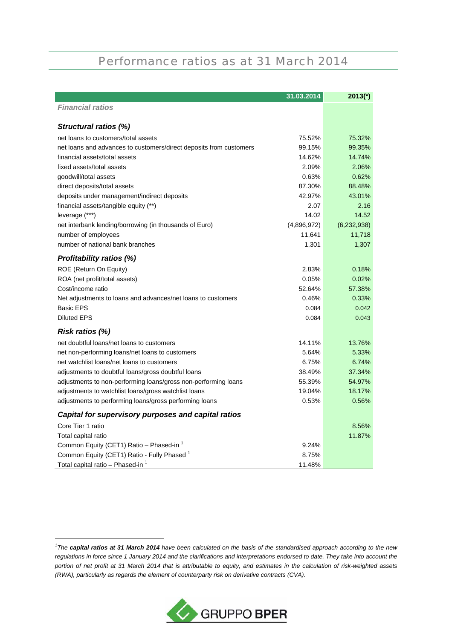### Performance ratios as at 31 March 2014

|                                                                    | 31.03.2014  | $2013(*)$     |
|--------------------------------------------------------------------|-------------|---------------|
| <b>Financial ratios</b>                                            |             |               |
|                                                                    |             |               |
| Structural ratios (%)                                              |             |               |
| net loans to customers/total assets                                | 75.52%      | 75.32%        |
| net loans and advances to customers/direct deposits from customers | 99.15%      | 99.35%        |
| financial assets/total assets                                      | 14.62%      | 14.74%        |
| fixed assets/total assets                                          | 2.09%       | 2.06%         |
| goodwill/total assets                                              | 0.63%       | 0.62%         |
| direct deposits/total assets                                       | 87.30%      | 88.48%        |
| deposits under management/indirect deposits                        | 42.97%      | 43.01%        |
| financial assets/tangible equity (**)                              | 2.07        | 2.16          |
| leverage (***)                                                     | 14.02       | 14.52         |
| net interbank lending/borrowing (in thousands of Euro)             | (4,896,972) | (6, 232, 938) |
| number of employees                                                | 11,641      | 11,718        |
| number of national bank branches                                   | 1,301       | 1,307         |
| <b>Profitability ratios (%)</b>                                    |             |               |
| ROE (Return On Equity)                                             | 2.83%       | 0.18%         |
| ROA (net profit/total assets)                                      | 0.05%       | 0.02%         |
| Cost/income ratio                                                  | 52.64%      | 57.38%        |
| Net adjustments to loans and advances/net loans to customers       | 0.46%       | 0.33%         |
| <b>Basic EPS</b>                                                   | 0.084       | 0.042         |
| <b>Diluted EPS</b>                                                 | 0.084       | 0.043         |
| Risk ratios (%)                                                    |             |               |
| net doubtful loans/net loans to customers                          | 14.11%      | 13.76%        |
| net non-performing loans/net loans to customers                    | 5.64%       | 5.33%         |
| net watchlist loans/net loans to customers                         | 6.75%       | 6.74%         |
| adjustments to doubtful loans/gross doubtful loans                 | 38.49%      | 37.34%        |
| adjustments to non-performing loans/gross non-performing loans     | 55.39%      | 54.97%        |
| adjustments to watchlist loans/gross watchlist loans               | 19.04%      | 18.17%        |
| adjustments to performing loans/gross performing loans             | 0.53%       | 0.56%         |
| Capital for supervisory purposes and capital ratios                |             |               |
| Core Tier 1 ratio                                                  |             | 8.56%         |
| Total capital ratio                                                |             | 11.87%        |
| Common Equity (CET1) Ratio - Phased-in 1                           | 9.24%       |               |
| Common Equity (CET1) Ratio - Fully Phased <sup>1</sup>             | 8.75%       |               |
| Total capital ratio - Phased-in <sup>1</sup>                       | 11.48%      |               |



*<sup>1</sup> The capital ratios at 31 March 2014 have been calculated on the basis of the standardised approach according to the new regulations in force since 1 January 2014 and the clarifications and interpretations endorsed to date. They take into account the portion of net profit at 31 March 2014 that is attributable to equity, and estimates in the calculation of risk-weighted assets (RWA), particularly as regards the element of counterparty risk on derivative contracts (CVA).*